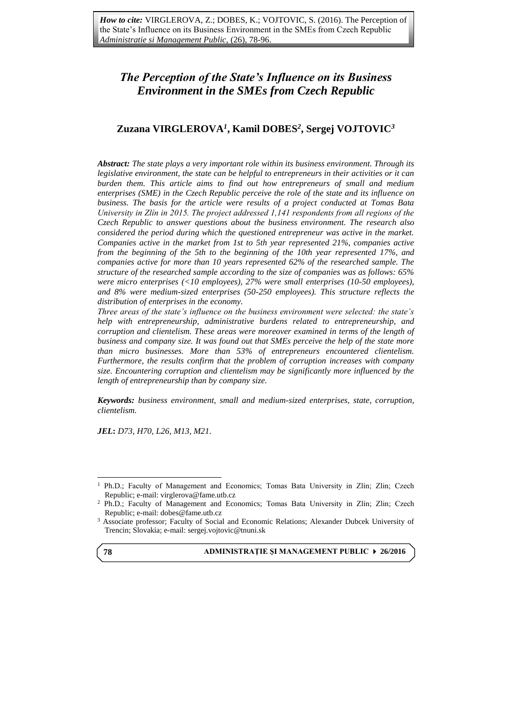# *The Perception of the State's Influence on its Business Environment in the SMEs from Czech Republic*

## **Zuzana VIRGLEROVA***<sup>1</sup>* **, Kamil DOBES***<sup>2</sup>* **, Sergej VOJTOVIC***<sup>3</sup>*

*Abstract: The state plays a very important role within its business environment. Through its legislative environment, the state can be helpful to entrepreneurs in their activities or it can burden them. This article aims to find out how entrepreneurs of small and medium enterprises (SME) in the Czech Republic perceive the role of the state and its influence on business. The basis for the article were results of a project conducted at Tomas Bata University in Zlín in 2015. The project addressed 1,141 respondents from all regions of the Czech Republic to answer questions about the business environment. The research also considered the period during which the questioned entrepreneur was active in the market. Companies active in the market from 1st to 5th year represented 21%, companies active from the beginning of the 5th to the beginning of the 10th year represented 17%, and companies active for more than 10 years represented 62% of the researched sample. The structure of the researched sample according to the size of companies was as follows: 65% were micro enterprises (<10 employees), 27% were small enterprises (10-50 employees), and 8% were medium-sized enterprises (50-250 employees). This structure reflects the distribution of enterprises in the economy.*

*Three areas of the state's influence on the business environment were selected: the state's help with entrepreneurship, administrative burdens related to entrepreneurship, and corruption and clientelism. These areas were moreover examined in terms of the length of business and company size. It was found out that SMEs perceive the help of the state more than micro businesses. More than 53% of entrepreneurs encountered clientelism. Furthermore, the results confirm that the problem of corruption increases with company size. Encountering corruption and clientelism may be significantly more influenced by the length of entrepreneurship than by company size.*

*Keywords: business environment, small and medium-sized enterprises, state, corruption, clientelism.*

*JEL***:** *D73, H70, L26, M13, M21.* 

**78**

 $\overline{a}$ 

**ADMINISTRAŢIE ŞI MANAGEMENT PUBLIC 26/2016**

<sup>&</sup>lt;sup>1</sup> Ph.D.; Faculty of Management and Economics; Tomas Bata University in Zlín; Zlin; Czech Republic; e-mail: virglerova@fame.utb.cz

<sup>2</sup> Ph.D.; Faculty of Management and Economics; Tomas Bata University in Zlín; Zlin; Czech Republic; e-mail: dobes@fame.utb.cz

<sup>3</sup> Associate professor; Faculty of Social and Economic Relations; Alexander Dubcek University of Trencin; Slovakia; e-mail: sergej.vojtovic@tnuni.sk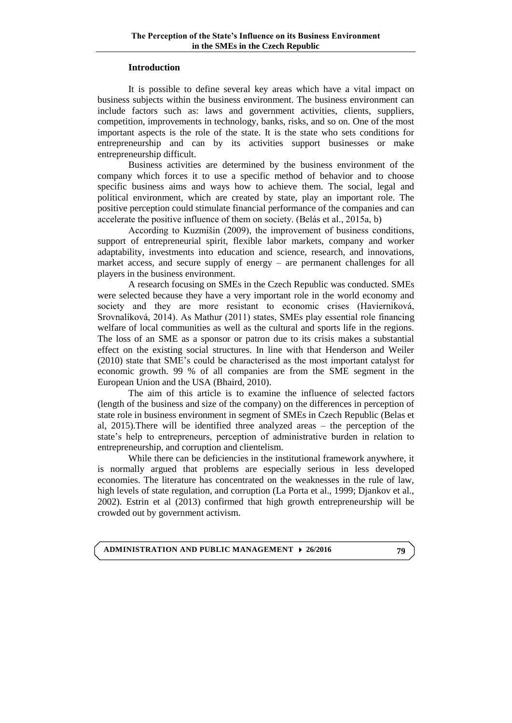## **Introduction**

It is possible to define several key areas which have a vital impact on business subjects within the business environment. The business environment can include factors such as: laws and government activities, clients, suppliers, competition, improvements in technology, banks, risks, and so on. One of the most important aspects is the role of the state. It is the state who sets conditions for entrepreneurship and can by its activities support businesses or make entrepreneurship difficult.

Business activities are determined by the business environment of the company which forces it to use a specific method of behavior and to choose specific business aims and ways how to achieve them. The social, legal and political environment, which are created by state, play an important role. The positive perception could stimulate financial performance of the companies and can accelerate the positive influence of them on society. (Belás et al., 2015a, b)

According to Kuzmišin (2009), the improvement of business conditions, support of entrepreneurial spirit, flexible labor markets, company and worker adaptability, investments into education and science, research, and innovations, market access, and secure supply of energy – are permanent challenges for all players in the business environment.

A research focusing on SMEs in the Czech Republic was conducted. SMEs were selected because they have a very important role in the world economy and society and they are more resistant to economic crises (Havierniková, Srovnalíková, 2014). As Mathur (2011) states, SMEs play essential role financing welfare of local communities as well as the cultural and sports life in the regions. The loss of an SME as a sponsor or patron due to its crisis makes a substantial effect on the existing social structures. In line with that Henderson and Weiler (2010) state that SME's could be characterised as the most important catalyst for economic growth. 99 % of all companies are from the SME segment in the European Union and the USA (Bhaird, 2010).

The aim of this article is to examine the influence of selected factors (length of the business and size of the company) on the differences in perception of state role in business environment in segment of SMEs in Czech Republic (Belas et al, 2015).There will be identified three analyzed areas – the perception of the state's help to entrepreneurs, perception of administrative burden in relation to entrepreneurship, and corruption and clientelism.

While there can be deficiencies in the institutional framework anywhere, it is normally argued that problems are especially serious in less developed economies. The literature has concentrated on the weaknesses in the rule of law, high levels of state regulation, and corruption (La Porta et al., 1999; Djankov et al., 2002). Estrin et al (2013) confirmed that high growth entrepreneurship will be crowded out by government activism.

**ADMINISTRATION AND PUBLIC MANAGEMENT 26/2016**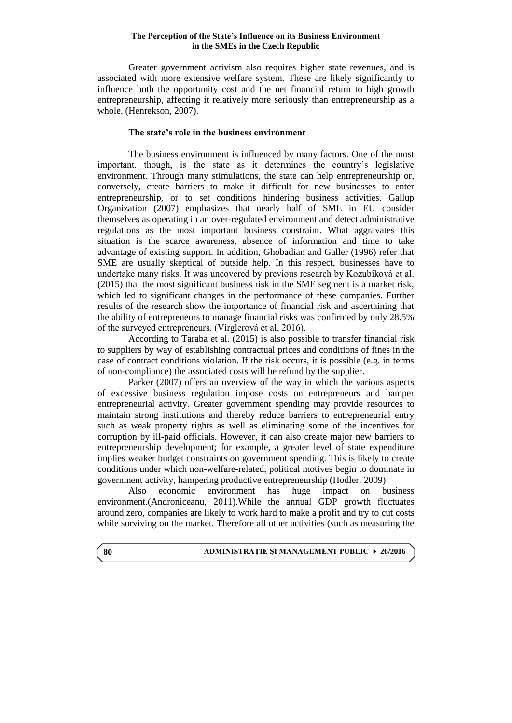Greater government activism also requires higher state revenues, and is associated with more extensive welfare system. These are likely significantly to influence both the opportunity cost and the net financial return to high growth entrepreneurship, affecting it relatively more seriously than entrepreneurship as a whole. (Henrekson, 2007).

## **The state's role in the business environment**

The business environment is influenced by many factors. One of the most important, though, is the state as it determines the country's legislative environment. Through many stimulations, the state can help entrepreneurship or, conversely, create barriers to make it difficult for new businesses to enter entrepreneurship, or to set conditions hindering business activities. Gallup Organization (2007) emphasizes that nearly half of SME in EU consider themselves as operating in an over-regulated environment and detect administrative regulations as the most important business constraint. What aggravates this situation is the scarce awareness, absence of information and time to take advantage of existing support. In addition, Ghobadian and Galler (1996) refer that SME are usually skeptical of outside help. In this respect, businesses have to undertake many risks. It was uncovered by previous research by Kozubíková et al. (2015) that the most significant business risk in the SME segment is a market risk, which led to significant changes in the performance of these companies. Further results of the research show the importance of financial risk and ascertaining that the ability of entrepreneurs to manage financial risks was confirmed by only 28.5% of the surveyed entrepreneurs. (Virglerová et al, 2016).

According to Taraba et al. (2015) is also possible to transfer financial risk to suppliers by way of establishing contractual prices and conditions of fines in the case of contract conditions violation. If the risk occurs, it is possible (e.g. in terms of non-compliance) the associated costs will be refund by the supplier.

Parker (2007) offers an overview of the way in which the various aspects of excessive business regulation impose costs on entrepreneurs and hamper entrepreneurial activity. Greater government spending may provide resources to maintain strong institutions and thereby reduce barriers to entrepreneurial entry such as weak property rights as well as eliminating some of the incentives for corruption by ill-paid officials. However, it can also create major new barriers to entrepreneurship development; for example, a greater level of state expenditure implies weaker budget constraints on government spending. This is likely to create conditions under which non-welfare-related, political motives begin to dominate in government activity, hampering productive entrepreneurship (Hodler, 2009).

Also economic environment has huge impact on business environment.(Androniceanu, 2011).While the annual GDP growth fluctuates around zero, companies are likely to work hard to make a profit and try to cut costs while surviving on the market. Therefore all other activities (such as measuring the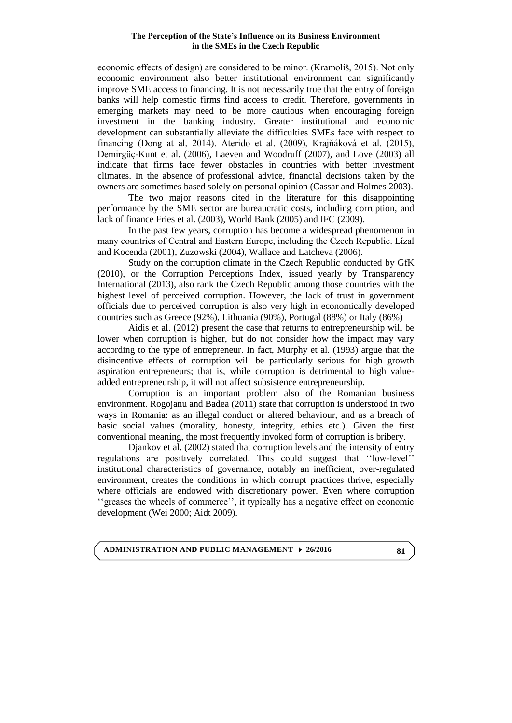economic effects of design) are considered to be minor. (Kramoliš, 2015). Not only economic environment also better institutional environment can significantly improve SME access to financing. It is not necessarily true that the entry of foreign banks will help domestic firms find access to credit. Therefore, governments in emerging markets may need to be more cautious when encouraging foreign investment in the banking industry. Greater institutional and economic development can substantially alleviate the difficulties SMEs face with respect to financing (Dong at al, 2014). Aterido et al. (2009), Krajňáková et al. (2015), Demirgüç-Kunt et al. (2006), Laeven and Woodruff (2007), and Love (2003) all indicate that firms face fewer obstacles in countries with better investment climates. In the absence of professional advice, financial decisions taken by the owners are sometimes based solely on personal opinion (Cassar and Holmes 2003).

The two major reasons cited in the literature for this disappointing performance by the SME sector are bureaucratic costs, including corruption, and lack of finance Fries et al. (2003), World Bank (2005) and IFC (2009).

In the past few years, corruption has become a widespread phenomenon in many countries of Central and Eastern Europe, including the Czech Republic. Lízal and Kocenda (2001), Zuzowski (2004), Wallace and Latcheva (2006).

Study on the corruption climate in the Czech Republic conducted by GfK (2010), or the Corruption Perceptions Index, issued yearly by Transparency International (2013), also rank the Czech Republic among those countries with the highest level of perceived corruption. However, the lack of trust in government officials due to perceived corruption is also very high in economically developed countries such as Greece (92%), Lithuania (90%), Portugal (88%) or Italy (86%)

Aidis et al. (2012) present the case that returns to entrepreneurship will be lower when corruption is higher, but do not consider how the impact may vary according to the type of entrepreneur. In fact, Murphy et al. (1993) argue that the disincentive effects of corruption will be particularly serious for high growth aspiration entrepreneurs; that is, while corruption is detrimental to high valueadded entrepreneurship, it will not affect subsistence entrepreneurship.

Corruption is an important problem also of the Romanian business environment. Rogojanu and Badea (2011) state that corruption is understood in two ways in Romania: as an illegal conduct or altered behaviour, and as a breach of basic social values (morality, honesty, integrity, ethics etc.). Given the first conventional meaning, the most frequently invoked form of corruption is bribery.

Djankov et al. (2002) stated that corruption levels and the intensity of entry regulations are positively correlated. This could suggest that ''low-level'' institutional characteristics of governance, notably an inefficient, over-regulated environment, creates the conditions in which corrupt practices thrive, especially where officials are endowed with discretionary power. Even where corruption ''greases the wheels of commerce'', it typically has a negative effect on economic development (Wei 2000; Aidt 2009).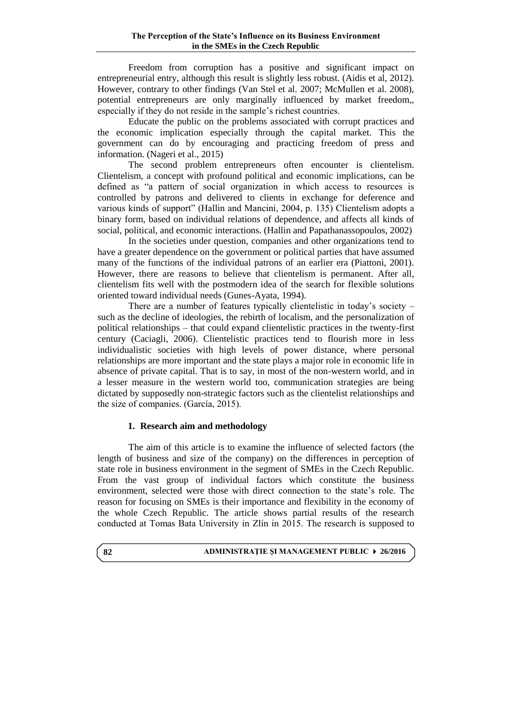Freedom from corruption has a positive and significant impact on entrepreneurial entry, although this result is slightly less robust. (Aidis et al, 2012). However, contrary to other findings (Van Stel et al. 2007; McMullen et al. 2008), potential entrepreneurs are only marginally influenced by market freedom,, especially if they do not reside in the sample's richest countries.

Educate the public on the problems associated with corrupt practices and the economic implication especially through the capital market. This the government can do by encouraging and practicing freedom of press and information. (Nageri et al., 2015)

The second problem entrepreneurs often encounter is clientelism. Clientelism, a concept with profound political and economic implications, can be defined as "a pattern of social organization in which access to resources is controlled by patrons and delivered to clients in exchange for deference and various kinds of support" (Hallin and Mancini, 2004, p. 135) Clientelism adopts a binary form, based on individual relations of dependence, and affects all kinds of social, political, and economic interactions. (Hallin and Papathanassopoulos, 2002)

In the societies under question, companies and other organizations tend to have a greater dependence on the government or political parties that have assumed many of the functions of the individual patrons of an earlier era (Piattoni, 2001). However, there are reasons to believe that clientelism is permanent. After all, clientelism fits well with the postmodern idea of the search for flexible solutions oriented toward individual needs (Gunes-Ayata, 1994).

There are a number of features typically clientelistic in today's society – such as the decline of ideologies, the rebirth of localism, and the personalization of political relationships – that could expand clientelistic practices in the twenty-first century (Caciagli, 2006). Clientelistic practices tend to flourish more in less individualistic societies with high levels of power distance, where personal relationships are more important and the state plays a major role in economic life in absence of private capital. That is to say, in most of the non-western world, and in a lesser measure in the western world too, communication strategies are being dictated by supposedly non-strategic factors such as the clientelist relationships and the size of companies. (García, 2015).

## **1. Research aim and methodology**

The aim of this article is to examine the influence of selected factors (the length of business and size of the company) on the differences in perception of state role in business environment in the segment of SMEs in the Czech Republic. From the vast group of individual factors which constitute the business environment, selected were those with direct connection to the state's role. The reason for focusing on SMEs is their importance and flexibility in the economy of the whole Czech Republic. The article shows partial results of the research conducted at Tomas Bata University in Zlín in 2015. The research is supposed to

#### **ADMINISTRAŢIE ŞI MANAGEMENT PUBLIC 26/2016**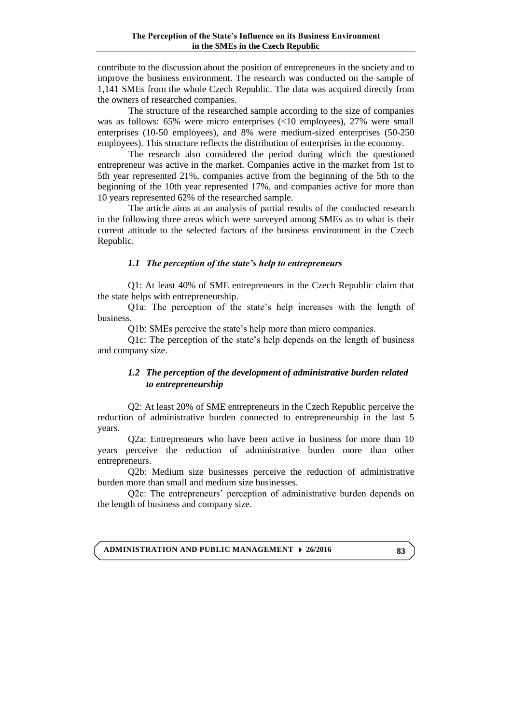contribute to the discussion about the position of entrepreneurs in the society and to improve the business environment. The research was conducted on the sample of 1,141 SMEs from the whole Czech Republic. The data was acquired directly from the owners of researched companies.

The structure of the researched sample according to the size of companies was as follows: 65% were micro enterprises (<10 employees), 27% were small enterprises (10-50 employees), and 8% were medium-sized enterprises (50-250 employees). This structure reflects the distribution of enterprises in the economy.

The research also considered the period during which the questioned entrepreneur was active in the market. Companies active in the market from 1st to 5th year represented 21%, companies active from the beginning of the 5th to the beginning of the 10th year represented 17%, and companies active for more than 10 years represented 62% of the researched sample.

The article aims at an analysis of partial results of the conducted research in the following three areas which were surveyed among SMEs as to what is their current attitude to the selected factors of the business environment in the Czech Republic.

## *1.1 The perception of the state's help to entrepreneurs*

Q1: At least 40% of SME entrepreneurs in the Czech Republic claim that the state helps with entrepreneurship.

Q1a: The perception of the state's help increases with the length of business.

Q1b: SMEs perceive the state's help more than micro companies.

Q1c: The perception of the state's help depends on the length of business and company size.

## *1.2 The perception of the development of administrative burden related to entrepreneurship*

Q2: At least 20% of SME entrepreneurs in the Czech Republic perceive the reduction of administrative burden connected to entrepreneurship in the last 5 years.

Q2a: Entrepreneurs who have been active in business for more than 10 years perceive the reduction of administrative burden more than other entrepreneurs.

Q2b: Medium size businesses perceive the reduction of administrative burden more than small and medium size businesses.

Q2c: The entrepreneurs' perception of administrative burden depends on the length of business and company size.

**ADMINISTRATION AND PUBLIC MANAGEMENT 26/2016**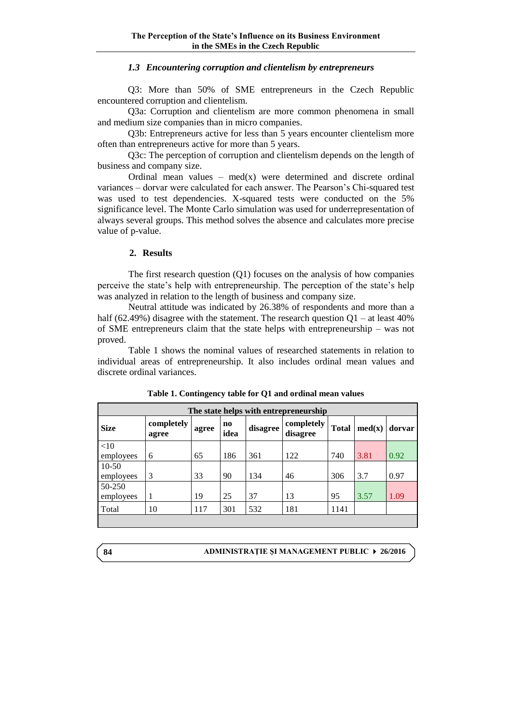## *1.3 Encountering corruption and clientelism by entrepreneurs*

Q3: More than 50% of SME entrepreneurs in the Czech Republic encountered corruption and clientelism.

Q3a: Corruption and clientelism are more common phenomena in small and medium size companies than in micro companies.

Q3b: Entrepreneurs active for less than 5 years encounter clientelism more often than entrepreneurs active for more than 5 years.

Q3c: The perception of corruption and clientelism depends on the length of business and company size.

Ordinal mean values –  $med(x)$  were determined and discrete ordinal variances – dorvar were calculated for each answer. The Pearson's Chi-squared test was used to test dependencies. X-squared tests were conducted on the 5% significance level. The Monte Carlo simulation was used for underrepresentation of always several groups. This method solves the absence and calculates more precise value of p-value.

#### **2. Results**

The first research question (Q1) focuses on the analysis of how companies perceive the state's help with entrepreneurship. The perception of the state's help was analyzed in relation to the length of business and company size.

Neutral attitude was indicated by 26.38% of respondents and more than a half (62.49%) disagree with the statement. The research question  $Q1 - at$  least 40% of SME entrepreneurs claim that the state helps with entrepreneurship – was not proved.

Table 1 shows the nominal values of researched statements in relation to individual areas of entrepreneurship. It also includes ordinal mean values and discrete ordinal variances.

| The state helps with entrepreneurship |                     |       |                                |          |                        |              |        |        |
|---------------------------------------|---------------------|-------|--------------------------------|----------|------------------------|--------------|--------|--------|
| <b>Size</b>                           | completely<br>agree | agree | $\mathbf{n}\mathbf{o}$<br>idea | disagree | completely<br>disagree | <b>Total</b> | med(x) | dorvar |
| <10                                   |                     |       |                                |          |                        |              |        |        |
| employees                             | 6                   | 65    | 186                            | 361      | 122                    | 740          | 3.81   | 0.92   |
| $10-50$                               |                     |       |                                |          |                        |              |        |        |
| employees                             | 3                   | 33    | 90                             | 134      | 46                     | 306          | 3.7    | 0.97   |
| 50-250                                |                     |       |                                |          |                        |              |        |        |
| employees                             | 1                   | 19    | 25                             | 37       | 13                     | 95           | 3.57   | 1.09   |
| Total                                 | 10                  | 117   | 301                            | 532      | 181                    | 1141         |        |        |
|                                       |                     |       |                                |          |                        |              |        |        |

**Table 1. Contingency table for Q1 and ordinal mean values**

**ADMINISTRAŢIE ŞI MANAGEMENT PUBLIC 26/2016**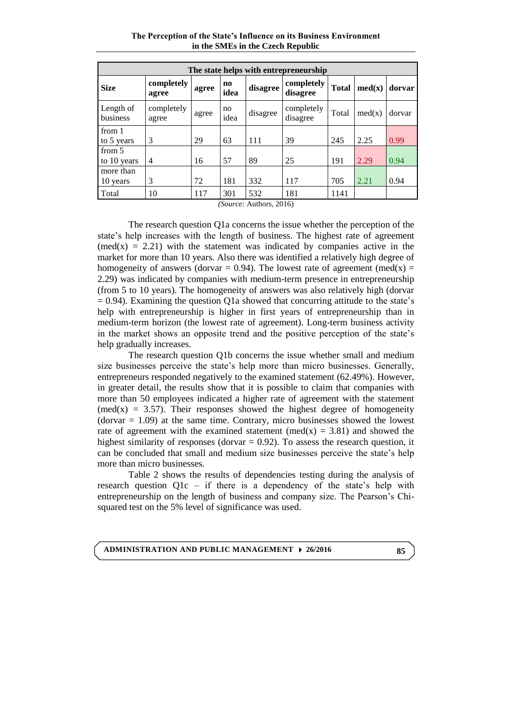**The Perception of the State's Influence on its Business Environment in the SMEs in the Czech Republic**

|                       | The state helps with entrepreneurship |       |                                |          |                        |              |        |        |
|-----------------------|---------------------------------------|-------|--------------------------------|----------|------------------------|--------------|--------|--------|
| <b>Size</b>           | completely<br>agree                   | agree | $\mathbf{n}\mathbf{o}$<br>idea | disagree | completely<br>disagree | <b>Total</b> | med(x) | dorvar |
| Length of<br>business | completely<br>agree                   | agree | no<br>idea                     | disagree | completely<br>disagree | Total        | med(x) | dorvar |
| from 1<br>to 5 years  | 3                                     | 29    | 63                             | 111      | 39                     | 245          | 2.25   | 0.99   |
| from 5<br>to 10 years | $\overline{4}$                        | 16    | 57                             | 89       | 25                     | 191          | 2.29   | 0.94   |
| more than<br>10 years | 3                                     | 72    | 181                            | 332      | 117                    | 705          | 2.21   | 0.94   |
| Total                 | 10                                    | 117   | 301                            | 532      | 181                    | 1141         |        |        |

*(Source:* Authors, 2016)

The research question Q1a concerns the issue whether the perception of the state's help increases with the length of business. The highest rate of agreement  $(med(x) = 2.21)$  with the statement was indicated by companies active in the market for more than 10 years. Also there was identified a relatively high degree of homogeneity of answers (dorvar = 0.94). The lowest rate of agreement (med(x) = 2.29) was indicated by companies with medium-term presence in entrepreneurship (from 5 to 10 years). The homogeneity of answers was also relatively high (dorvar  $= 0.94$ ). Examining the question Q1a showed that concurring attitude to the state's help with entrepreneurship is higher in first years of entrepreneurship than in medium-term horizon (the lowest rate of agreement). Long-term business activity in the market shows an opposite trend and the positive perception of the state's help gradually increases.

The research question Q1b concerns the issue whether small and medium size businesses perceive the state's help more than micro businesses. Generally, entrepreneurs responded negatively to the examined statement (62.49%). However, in greater detail, the results show that it is possible to claim that companies with more than 50 employees indicated a higher rate of agreement with the statement (med(x) = 3.57). Their responses showed the highest degree of homogeneity  $(dorvar = 1.09)$  at the same time. Contrary, micro businesses showed the lowest rate of agreement with the examined statement (med(x) = 3.81) and showed the highest similarity of responses (dorvar  $= 0.92$ ). To assess the research question, it can be concluded that small and medium size businesses perceive the state's help more than micro businesses.

Table 2 shows the results of dependencies testing during the analysis of research question Q1c – if there is a dependency of the state's help with entrepreneurship on the length of business and company size. The Pearson's Chisquared test on the 5% level of significance was used.

**ADMINISTRATION AND PUBLIC MANAGEMENT 26/2016**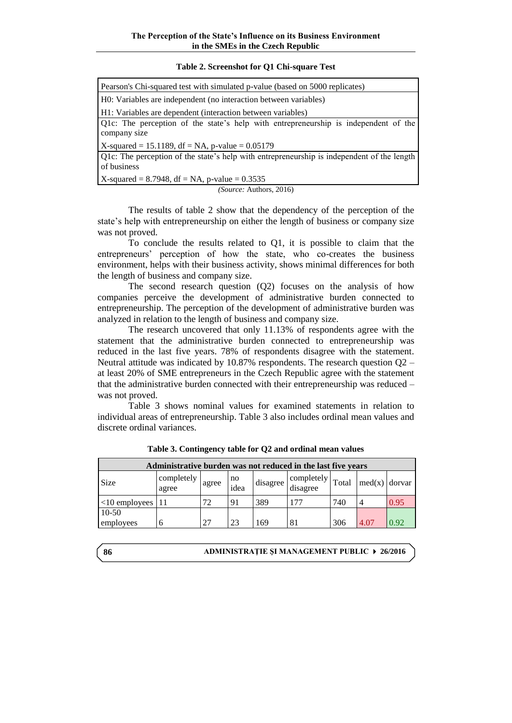#### **Table 2. Screenshot for Q1 Chi-square Test**

| Pearson's Chi-squared test with simulated p-value (based on 5000 replicates)                              |
|-----------------------------------------------------------------------------------------------------------|
| H0: Variables are independent (no interaction between variables)                                          |
| H1: Variables are dependent (interaction between variables)                                               |
| Q1c: The perception of the state's help with entrepreneurship is independent of the<br>company size       |
| X-squared = 15.1189, df = NA, p-value = $0.05179$                                                         |
| Q1c: The perception of the state's help with entrepreneurship is independent of the length<br>of business |
| X-squared = 8.7948, df = NA, p-value = $0.3535$                                                           |
| <i>(Source: Authors, 2016)</i>                                                                            |

The results of table 2 show that the dependency of the perception of the state's help with entrepreneurship on either the length of business or company size was not proved.

To conclude the results related to Q1, it is possible to claim that the entrepreneurs' perception of how the state, who co-creates the business environment, helps with their business activity, shows minimal differences for both the length of business and company size.

The second research question (Q2) focuses on the analysis of how companies perceive the development of administrative burden connected to entrepreneurship. The perception of the development of administrative burden was analyzed in relation to the length of business and company size.

The research uncovered that only 11.13% of respondents agree with the statement that the administrative burden connected to entrepreneurship was reduced in the last five years. 78% of respondents disagree with the statement. Neutral attitude was indicated by 10.87% respondents. The research question  $Q2$ at least 20% of SME entrepreneurs in the Czech Republic agree with the statement that the administrative burden connected with their entrepreneurship was reduced – was not proved.

Table 3 shows nominal values for examined statements in relation to individual areas of entrepreneurship. Table 3 also includes ordinal mean values and discrete ordinal variances.

| Administrative burden was not reduced in the last five years |                     |       |            |          |                        |       |                        |      |
|--------------------------------------------------------------|---------------------|-------|------------|----------|------------------------|-------|------------------------|------|
| Size                                                         | completely<br>agree | agree | no<br>idea | disagree | completely<br>disagree | Total | $\text{med}(x)$ dorvar |      |
| $ 11 $ <10 employees   11                                    |                     | 72    | 91         | 389      | 177                    | 740   | 4                      | 0.95 |
| $10-50$<br>employees                                         |                     | 27    | 23         | 169      | 81                     | 306   | 4.07                   | 0.92 |

**Table 3. Contingency table for Q2 and ordinal mean values**

**86**

**ADMINISTRAŢIE ŞI MANAGEMENT PUBLIC 26/2016**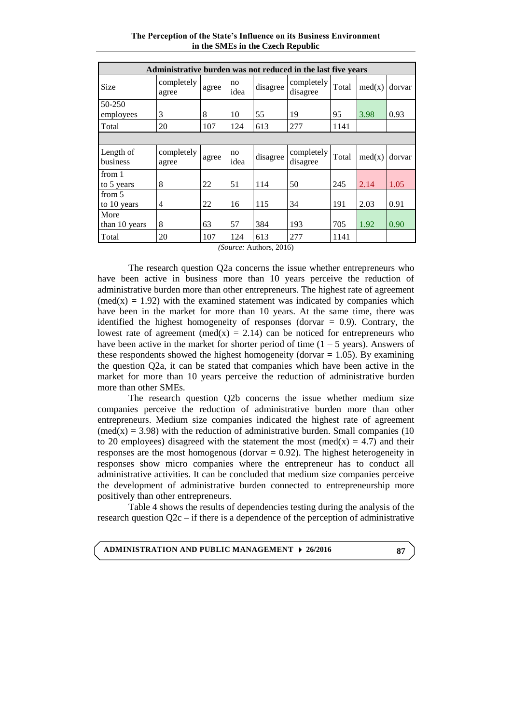**The Perception of the State's Influence on its Business Environment in the SMEs in the Czech Republic**

| Administrative burden was not reduced in the last five years |                     |       |            |          |                        |       |        |        |
|--------------------------------------------------------------|---------------------|-------|------------|----------|------------------------|-------|--------|--------|
| Size                                                         | completely<br>agree | agree | no<br>idea | disagree | completely<br>disagree | Total | med(x) | dorvar |
| 50-250<br>employees                                          | 3                   | 8     | 10         | 55       | 19                     | 95    | 3.98   | 0.93   |
| Total                                                        | 20                  | 107   | 124        | 613      | 277                    | 1141  |        |        |
|                                                              |                     |       |            |          |                        |       |        |        |
| Length of<br>business                                        | completely<br>agree | agree | no<br>idea | disagree | completely<br>disagree | Total | med(x) | dorvar |
| from 1<br>to 5 years                                         | 8                   | 22    | 51         | 114      | 50                     | 245   | 2.14   | 1.05   |
| from 5<br>to 10 years                                        | 4                   | 22    | 16         | 115      | 34                     | 191   | 2.03   | 0.91   |
| More<br>than 10 years                                        | 8                   | 63    | 57         | 384      | 193                    | 705   | 1.92   | 0.90   |
| Total                                                        | 20                  | 107   | 124        | 613      | 277                    | 1141  |        |        |

*(Source:* Authors, 2016)

The research question Q2a concerns the issue whether entrepreneurs who have been active in business more than 10 years perceive the reduction of administrative burden more than other entrepreneurs. The highest rate of agreement  $(med(x) = 1.92)$  with the examined statement was indicated by companies which have been in the market for more than 10 years. At the same time, there was identified the highest homogeneity of responses (dorvar  $= 0.9$ ). Contrary, the lowest rate of agreement (med(x) = 2.14) can be noticed for entrepreneurs who have been active in the market for shorter period of time  $(1 - 5$  years). Answers of these respondents showed the highest homogeneity (dorvar  $= 1.05$ ). By examining the question Q2a, it can be stated that companies which have been active in the market for more than 10 years perceive the reduction of administrative burden more than other SMEs.

The research question Q2b concerns the issue whether medium size companies perceive the reduction of administrative burden more than other entrepreneurs. Medium size companies indicated the highest rate of agreement  $(\text{med}(x) = 3.98)$  with the reduction of administrative burden. Small companies (10) to 20 employees) disagreed with the statement the most (med(x) = 4.7) and their responses are the most homogenous (dorvar  $= 0.92$ ). The highest heterogeneity in responses show micro companies where the entrepreneur has to conduct all administrative activities. It can be concluded that medium size companies perceive the development of administrative burden connected to entrepreneurship more positively than other entrepreneurs.

Table 4 shows the results of dependencies testing during the analysis of the research question Q2c – if there is a dependence of the perception of administrative

**ADMINISTRATION AND PUBLIC MANAGEMENT 26/2016**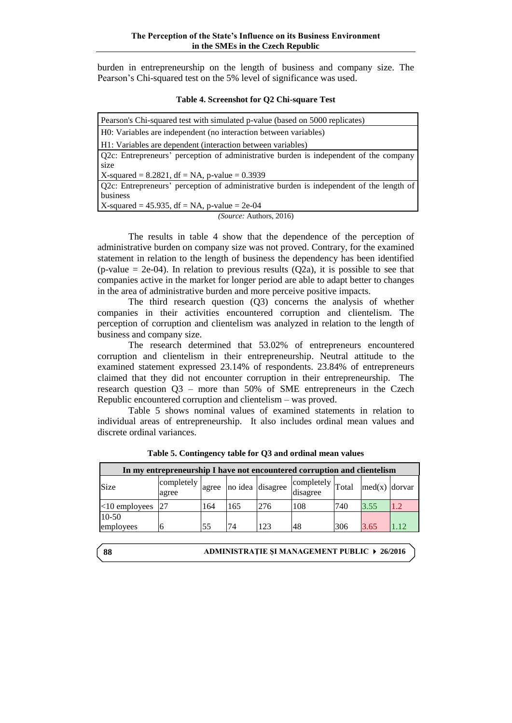burden in entrepreneurship on the length of business and company size. The Pearson's Chi-squared test on the 5% level of significance was used.

|  |  |  | Table 4. Screenshot for Q2 Chi-square Test |  |
|--|--|--|--------------------------------------------|--|
|--|--|--|--------------------------------------------|--|

| Pearson's Chi-squared test with simulated p-value (based on 5000 replicates)            |
|-----------------------------------------------------------------------------------------|
| H0: Variables are independent (no interaction between variables)                        |
| H1: Variables are dependent (interaction between variables)                             |
| Q2c: Entrepreneurs' perception of administrative burden is independent of the company   |
| size                                                                                    |
| X-squared = $8.2821$ , df = NA, p-value = 0.3939                                        |
| Q2c: Entrepreneurs' perception of administrative burden is independent of the length of |
| business                                                                                |
| X-squared = $45.935$ , df = NA, p-value = $2e-04$                                       |
| <i>(Source: Authors, 2016)</i>                                                          |

The results in table 4 show that the dependence of the perception of administrative burden on company size was not proved. Contrary, for the examined statement in relation to the length of business the dependency has been identified  $(p-value = 2e-04)$ . In relation to previous results  $(O2a)$ , it is possible to see that companies active in the market for longer period are able to adapt better to changes in the area of administrative burden and more perceive positive impacts.

The third research question (Q3) concerns the analysis of whether companies in their activities encountered corruption and clientelism. The perception of corruption and clientelism was analyzed in relation to the length of business and company size.

The research determined that 53.02% of entrepreneurs encountered corruption and clientelism in their entrepreneurship. Neutral attitude to the examined statement expressed 23.14% of respondents. 23.84% of entrepreneurs claimed that they did not encounter corruption in their entrepreneurship. The research question Q3 – more than 50% of SME entrepreneurs in the Czech Republic encountered corruption and clientelism – was proved.

Table 5 shows nominal values of examined statements in relation to individual areas of entrepreneurship. It also includes ordinal mean values and discrete ordinal variances.

| In my entrepreneurship I have not encountered corruption and clientelism |                                                                              |     |     |     |                              |     |                        |     |
|--------------------------------------------------------------------------|------------------------------------------------------------------------------|-----|-----|-----|------------------------------|-----|------------------------|-----|
| Size                                                                     | $\vert$ completely $\vert$ agree $\vert$ no idea $\vert$ disagree "<br>agree |     |     |     | completely<br>disagree Total |     | $\text{med}(x)$ dorvar |     |
| $<$ 10 employees                                                         |                                                                              | 164 | 165 | 276 | 108                          | 740 | 3.55                   | 1.2 |
| 10-50<br>employees                                                       |                                                                              |     |     |     |                              |     |                        |     |
|                                                                          |                                                                              | 55  | 74  | 123 | 48                           | 306 | 3.65                   |     |

**Table 5. Contingency table for Q3 and ordinal mean values**

**88**

**ADMINISTRAŢIE ŞI MANAGEMENT PUBLIC 26/2016**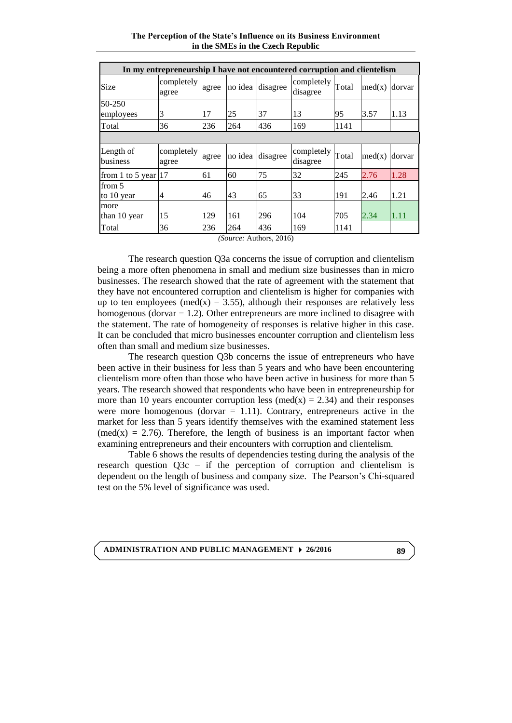**The Perception of the State's Influence on its Business Environment in the SMEs in the Czech Republic**

|                        | In my entrepreneurship I have not encountered corruption and clientelism |       |         |                  |                        |       |        |        |
|------------------------|--------------------------------------------------------------------------|-------|---------|------------------|------------------------|-------|--------|--------|
| Size                   | completely<br>agree                                                      | agree |         | no idea disagree | completely<br>disagree | Total | med(x) | dorvar |
| 50-250                 |                                                                          |       |         |                  |                        |       |        |        |
| employees              | 3                                                                        | 17    | 25      | 37               | 13                     | 95    | 3.57   | 1.13   |
| Total                  | 36                                                                       | 236   | 264     | 436              | 169                    | 1141  |        |        |
|                        |                                                                          |       |         |                  |                        |       |        |        |
| Length of<br>business  | completely<br>agree                                                      | agree | no idea | disagree         | completely<br>disagree | Total | med(x) | dorvar |
| from 1 to 5 year $ 17$ |                                                                          | 61    | 60      | 75               | 32                     | 245   | 2.76   | 1.28   |
| from 5                 |                                                                          |       |         |                  |                        |       |        |        |
| to 10 year             | 4                                                                        | 46    | 43      | 65               | 33                     | 191   | 2.46   | 1.21   |
| more                   |                                                                          |       |         |                  |                        |       |        |        |
| than 10 year           | 15                                                                       | 129   | 161     | 296              | 104                    | 705   | 2.34   | 1.11   |
| Total                  | 36                                                                       | 236   | 264     | 436              | 169                    | 1141  |        |        |

*(Source:* Authors, 2016)

The research question Q3a concerns the issue of corruption and clientelism being a more often phenomena in small and medium size businesses than in micro businesses. The research showed that the rate of agreement with the statement that they have not encountered corruption and clientelism is higher for companies with up to ten employees (med(x) = 3.55), although their responses are relatively less homogenous (dorvar  $= 1.2$ ). Other entrepreneurs are more inclined to disagree with the statement. The rate of homogeneity of responses is relative higher in this case. It can be concluded that micro businesses encounter corruption and clientelism less often than small and medium size businesses.

The research question Q3b concerns the issue of entrepreneurs who have been active in their business for less than 5 years and who have been encountering clientelism more often than those who have been active in business for more than 5 years. The research showed that respondents who have been in entrepreneurship for more than 10 years encounter corruption less (med(x) = 2.34) and their responses were more homogenous (dorvar  $= 1.11$ ). Contrary, entrepreneurs active in the market for less than 5 years identify themselves with the examined statement less (med(x) = 2.76). Therefore, the length of business is an important factor when examining entrepreneurs and their encounters with corruption and clientelism.

Table 6 shows the results of dependencies testing during the analysis of the research question Q3c – if the perception of corruption and clientelism is dependent on the length of business and company size. The Pearson's Chi-squared test on the 5% level of significance was used.

**ADMINISTRATION AND PUBLIC MANAGEMENT 26/2016**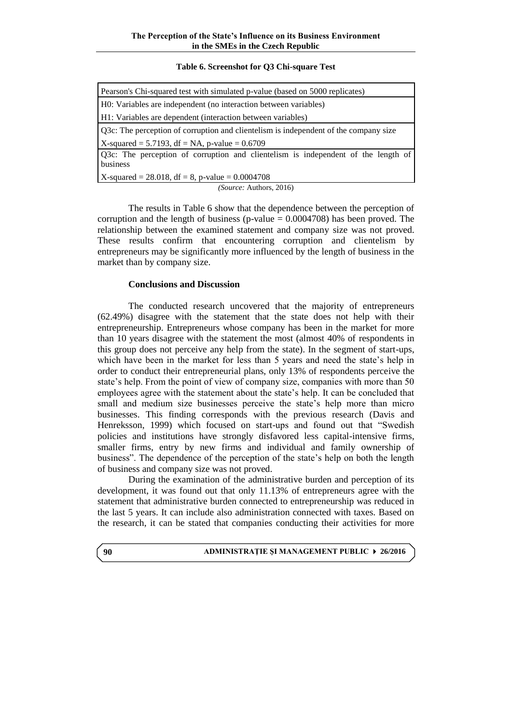## **Table 6. Screenshot for Q3 Chi-square Test**

| Pearson's Chi-squared test with simulated p-value (based on 5000 replicates)         |
|--------------------------------------------------------------------------------------|
| H0: Variables are independent (no interaction between variables)                     |
| H1: Variables are dependent (interaction between variables)                          |
| Q3c: The perception of corruption and clientelism is independent of the company size |
| X-squared = 5.7193, df = NA, p-value = $0.6709$                                      |
| Q3c: The perception of corruption and clientelism is independent of the length of    |
| business                                                                             |
| X-squared = $28.018$ , df = 8, p-value = $0.0004708$                                 |
| <i>(Source: Authors, 2016)</i>                                                       |

The results in Table 6 show that the dependence between the perception of corruption and the length of business (p-value  $= 0.0004708$ ) has been proved. The relationship between the examined statement and company size was not proved. These results confirm that encountering corruption and clientelism by entrepreneurs may be significantly more influenced by the length of business in the market than by company size.

## **Conclusions and Discussion**

The conducted research uncovered that the majority of entrepreneurs (62.49%) disagree with the statement that the state does not help with their entrepreneurship. Entrepreneurs whose company has been in the market for more than 10 years disagree with the statement the most (almost 40% of respondents in this group does not perceive any help from the state). In the segment of start-ups, which have been in the market for less than 5 years and need the state's help in order to conduct their entrepreneurial plans, only 13% of respondents perceive the state's help. From the point of view of company size, companies with more than 50 employees agree with the statement about the state's help. It can be concluded that small and medium size businesses perceive the state's help more than micro businesses. This finding corresponds with the previous research (Davis and Henreksson, 1999) which focused on start-ups and found out that "Swedish policies and institutions have strongly disfavored less capital-intensive firms, smaller firms, entry by new firms and individual and family ownership of business". The dependence of the perception of the state's help on both the length of business and company size was not proved.

During the examination of the administrative burden and perception of its development, it was found out that only 11.13% of entrepreneurs agree with the statement that administrative burden connected to entrepreneurship was reduced in the last 5 years. It can include also administration connected with taxes. Based on the research, it can be stated that companies conducting their activities for more

#### **ADMINISTRAŢIE ŞI MANAGEMENT PUBLIC 26/2016**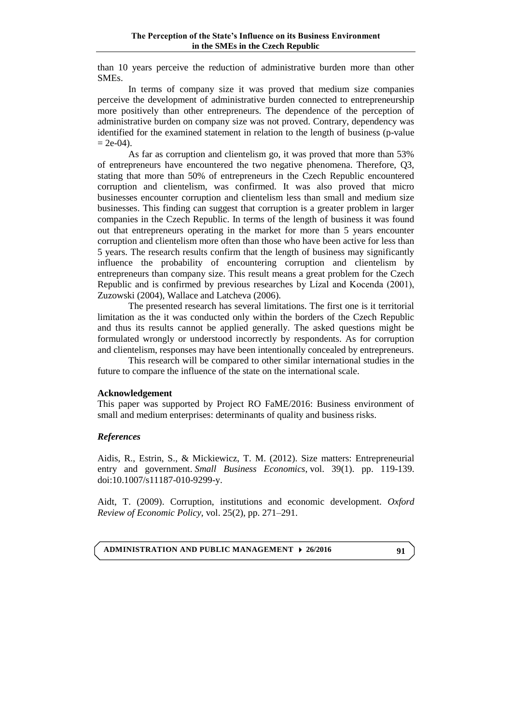than 10 years perceive the reduction of administrative burden more than other SMEs.

In terms of company size it was proved that medium size companies perceive the development of administrative burden connected to entrepreneurship more positively than other entrepreneurs. The dependence of the perception of administrative burden on company size was not proved. Contrary, dependency was identified for the examined statement in relation to the length of business (p-value  $= 2e-04$ ).

As far as corruption and clientelism go, it was proved that more than 53% of entrepreneurs have encountered the two negative phenomena. Therefore, Q3, stating that more than 50% of entrepreneurs in the Czech Republic encountered corruption and clientelism, was confirmed. It was also proved that micro businesses encounter corruption and clientelism less than small and medium size businesses. This finding can suggest that corruption is a greater problem in larger companies in the Czech Republic. In terms of the length of business it was found out that entrepreneurs operating in the market for more than 5 years encounter corruption and clientelism more often than those who have been active for less than 5 years. The research results confirm that the length of business may significantly influence the probability of encountering corruption and clientelism by entrepreneurs than company size. This result means a great problem for the Czech Republic and is confirmed by previous researches by Lízal and Kocenda (2001), Zuzowski (2004), Wallace and Latcheva (2006).

The presented research has several limitations. The first one is it territorial limitation as the it was conducted only within the borders of the Czech Republic and thus its results cannot be applied generally. The asked questions might be formulated wrongly or understood incorrectly by respondents. As for corruption and clientelism, responses may have been intentionally concealed by entrepreneurs.

This research will be compared to other similar international studies in the future to compare the influence of the state on the international scale.

## **Acknowledgement**

This paper was supported by Project RO FaME/2016: Business environment of small and medium enterprises: determinants of quality and business risks.

## *References*

Aidis, R., Estrin, S., & Mickiewicz, T. M. (2012). Size matters: Entrepreneurial entry and government. *Small Business Economics*, vol. 39(1). pp. 119-139. doi:10.1007/s11187-010-9299-y.

Aidt, T. (2009). Corruption, institutions and economic development. *Oxford Review of Economic Policy*, vol. 25(2), pp. 271–291.

**ADMINISTRATION AND PUBLIC MANAGEMENT 26/2016**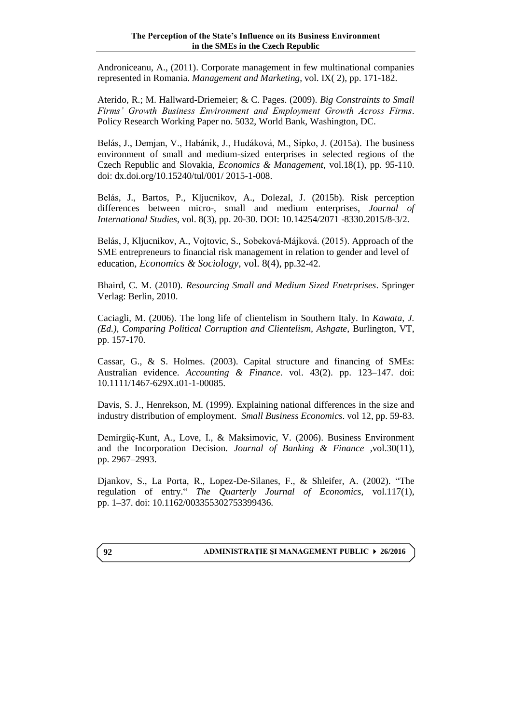Androniceanu, A., (2011). Corporate management in few multinational companies represented in Romania. *Management and Marketing*, vol. IX( 2), pp. 171-182.

Aterido, R.; M. Hallward-Driemeier; & C. Pages. (2009). *Big Constraints to Small Firms' Growth Business Environment and Employment Growth Across Firms*. Policy Research Working Paper no. 5032, World Bank, Washington, DC.

Belás, J., Demjan, V., Habánik, J., Hudáková, M., Sipko, J. (2015a). The business environment of small and medium-sized enterprises in selected regions of the Czech Republic and Slovakia, *Economics & Management,* vol.18(1), pp. 95-110. doi: dx.doi.org/10.15240/tul/001/ 2015-1-008.

Belás, J., Bartos, P., Kljucnikov, A., Dolezal, J. (2015b). Risk perception differences between micro-, small and medium enterprises, *Journal of International Studies*, vol. 8(3), pp. 20-30. DOI: 10.14254/2071 -8330.2015/8-3/2.

Belás, J, Kljucnikov, A., Vojtovic, S., Sobeková-Májková. (2015). Approach of the SME entrepreneurs to financial risk management in relation to gender and level of education, *Economics & Sociology*, vol. 8(4), pp.32-42.

Bhaird, C. M. (2010). *Resourcing Small and Medium Sized Enetrprises*. Springer Verlag: Berlin, 2010.

Caciagli, M. (2006). The long life of clientelism in Southern Italy. In *Kawata, J. (Ed.), Comparing Political Corruption and Clientelism, Ashgate*, Burlington, VT, pp. 157-170.

Cassar, G., & S. Holmes. (2003). Capital structure and financing of SMEs: Australian evidence. *Accounting & Finance*. vol. 43(2). pp. 123–147. doi: 10.1111/1467-629X.t01-1-00085.

Davis, S. J., Henrekson, M. (1999). Explaining national differences in the size and industry distribution of employment. *Small Business Economics*. vol 12, pp. 59-83.

Demirgüç-Kunt, A., Love, I., & Maksimovic, V. (2006). Business Environment and the Incorporation Decision. *Journal of Banking & Finance ,*vol.30(11), pp. 2967–2993.

Djankov, S., La Porta, R., Lopez-De-Silanes, F., & Shleifer, A. (2002). "The regulation of entry." *The Quarterly Journal of Economics*, vol.117(1), pp. 1–37. doi: 10.1162/003355302753399436.

## **ADMINISTRAŢIE ŞI MANAGEMENT PUBLIC 26/2016**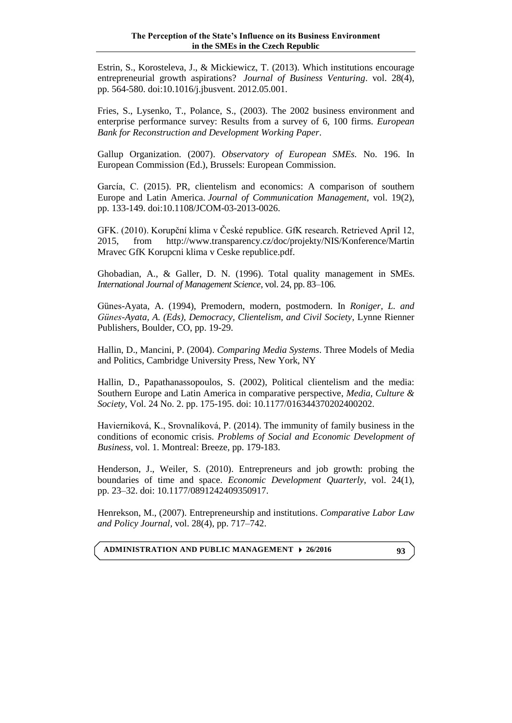Estrin, S., Korosteleva, J., & Mickiewicz, T. (2013). Which institutions encourage entrepreneurial growth aspirations? *Journal of Business Venturing*. vol. 28(4), pp. 564-580. doi:10.1016/j.jbusvent. 2012.05.001.

Fries, S., Lysenko, T., Polance, S., (2003). The 2002 business environment and enterprise performance survey: Results from a survey of 6, 100 firms. *European Bank for Reconstruction and Development Working Paper*.

Gallup Organization. (2007). *Observatory of European SMEs.* No. 196. In European Commission (Ed.), Brussels: European Commission.

García, C. (2015). PR, clientelism and economics: A comparison of southern Europe and Latin America. *Journal of Communication Management*, vol. 19(2), pp. 133-149. doi:10.1108/JCOM-03-2013-0026.

GFK. (2010). Korupční klima v České republice. GfK research. Retrieved April 12, 2015, from http://www.transparency.cz/doc/projekty/NIS/Konference/Martin Mravec GfK Korupcni klima v Ceske republice.pdf.

Ghobadian, A., & Galler, D. N. (1996). Total quality management in SMEs. *International Journal of Management Science*, vol. 24, pp. 83–106.

Günes-Ayata, A. (1994), Premodern, modern, postmodern. In *Roniger, L. and Günes-Ayata, A. (Eds), Democracy, Clientelism, and Civil Society*, Lynne Rienner Publishers, Boulder, CO, pp. 19-29.

Hallin, D., Mancini, P. (2004). *Comparing Media Systems*. Three Models of Media and Politics, Cambridge University Press, New York, NY

Hallin, D., Papathanassopoulos, S. (2002), Political clientelism and the media: Southern Europe and Latin America in comparative perspective, *Media, Culture & Society*, Vol. 24 No. 2. pp. 175-195. doi: 10.1177/016344370202400202.

Havierniková, K., Srovnalíková, P. (2014). The immunity of family business in the conditions of economic crisis. *Problems of Social and Economic Development of Business,* vol. 1. Montreal: Breeze, pp. 179-183.

Henderson, J., Weiler, S. (2010). Entrepreneurs and job growth: probing the boundaries of time and space. *Economic Development Quarterly*, vol. 24(1), pp. 23–32. doi: 10.1177/0891242409350917.

Henrekson, M., (2007). Entrepreneurship and institutions. *Comparative Labor Law and Policy Journal,* vol. 28(4), pp. 717–742.

**ADMINISTRATION AND PUBLIC MANAGEMENT 26/2016**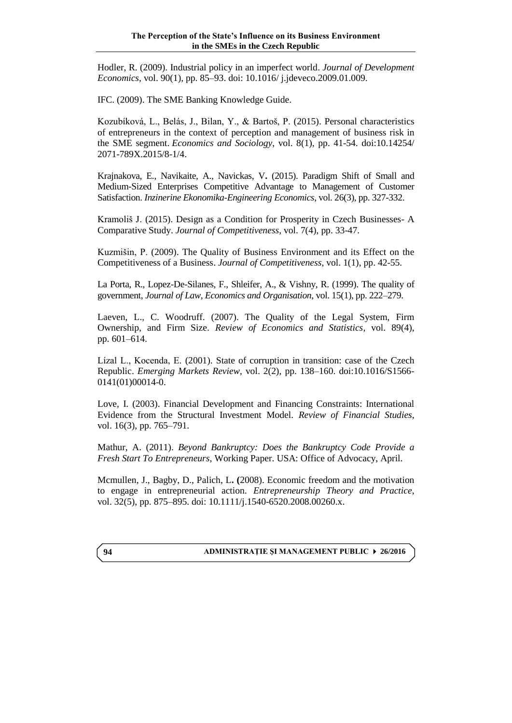Hodler, R. (2009). Industrial policy in an imperfect world. *Journal of Development Economics,* vol. 90(1), pp. 85–93. doi: 10.1016/ j.jdeveco.2009.01.009.

IFC. (2009). The SME Banking Knowledge Guide.

Kozubíková, L., Belás, J., Bilan, Y., & Bartoš, P. (2015). Personal characteristics of entrepreneurs in the context of perception and management of business risk in the SME segment. *Economics and Sociology*, vol. 8(1), pp. 41-54. doi:10.14254/ 2071-789X.2015/8-1/4.

Krajnakova, E., Navikaite, A., Navickas, V**.** (2015). Paradigm Shift of Small and Medium-Sized Enterprises Competitive Advantage to Management of Customer Satisfaction. *Inzinerine Ekonomika-Engineering Economics*, vol. 26(3), pp. 327-332.

Kramoliš J. (2015). Design as a Condition for Prosperity in Czech Businesses- A Comparative Study. *Journal of Competitiveness*, vol. 7(4), pp. 33-47.

Kuzmišin, P. (2009). The Quality of Business Environment and its Effect on the Competitiveness of a Business. *Journal of Competitiveness*, vol. 1(1), pp. 42-55.

La Porta, R., Lopez-De-Silanes, F., Shleifer, A., & Vishny, R. (1999). The quality of government, *Journal of Law, Economics and Organisation*, vol. 15(1), pp. 222–279.

Laeven, L., C. Woodruff. (2007). The Quality of the Legal System, Firm Ownership, and Firm Size. *Review of Economics and Statistics,* vol. 89(4), pp. 601–614.

Lízal L., Kocenda, E. (2001). State of corruption in transition: case of the Czech Republic. *Emerging Markets Review*, vol. 2(2), pp. 138–160. doi:10.1016/S1566- 0141(01)00014-0.

Love, I. (2003). Financial Development and Financing Constraints: International Evidence from the Structural Investment Model. *Review of Financial Studies,* vol. 16(3), pp. 765–791.

Mathur, A. (2011). *Beyond Bankruptcy: Does the Bankruptcy Code Provide a Fresh Start To Entrepreneurs,* Working Paper. USA: Office of Advocacy, April.

Mcmullen, J., Bagby, D., Palich, L**. (**2008). Economic freedom and the motivation to engage in entrepreneurial action. *Entrepreneurship Theory and Practice*, vol. 32(5), pp. 875–895. doi: 10.1111/j.1540-6520.2008.00260.x.

## **ADMINISTRAŢIE ŞI MANAGEMENT PUBLIC 26/2016**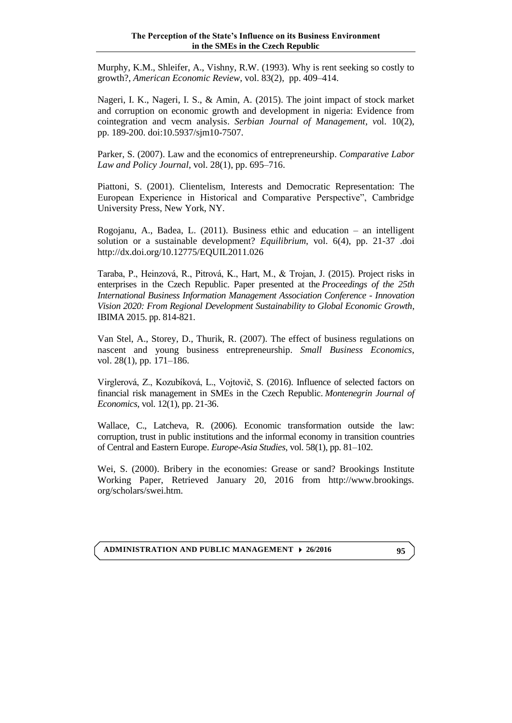Murphy, K.M., Shleifer, A., Vishny, R.W. (1993). Why is rent seeking so costly to growth?, *American Economic Review*, vol. 83(2), pp. 409–414.

Nageri, I. K., Nageri, I. S., & Amin, A. (2015). The joint impact of stock market and corruption on economic growth and development in nigeria: Evidence from cointegration and vecm analysis. *Serbian Journal of Management, v*ol. 10(2), pp. 189-200. doi:10.5937/sjm10-7507.

Parker, S. (2007). Law and the economics of entrepreneurship. *Comparative Labor Law and Policy Journal*, vol. 28(1), pp. 695–716.

Piattoni, S. (2001). Clientelism, Interests and Democratic Representation: The European Experience in Historical and Comparative Perspective", Cambridge University Press, New York, NY.

Rogojanu, A., Badea, L. (2011). Business ethic and education – an intelligent solution or a sustainable development? *Equilibrium*, vol. 6(4), pp. 21-37 .doi <http://dx.doi.org/10.12775/EQUIL2011.026>

Taraba, P., Heinzová, R., Pitrová, K., Hart, M., & Trojan, J. (2015). Project risks in enterprises in the Czech Republic. Paper presented at the *Proceedings of the 25th International Business Information Management Association Conference - Innovation Vision 2020: From Regional Development Sustainability to Global Economic Growth*, IBIMA 2015. pp. 814-821.

Van Stel, A., Storey, D., Thurik, R. (2007). The effect of business regulations on nascent and young business entrepreneurship. *Small Business Economics*, vol. 28(1), pp. 171–186.

Virglerová, Z., Kozubíková, L., Vojtovič, S. (2016). Influence of selected factors on financial risk management in SMEs in the Czech Republic. *Montenegrin Journal of Economics*, vol. 12(1), pp. 21-36.

Wallace, C., Latcheva, R. (2006). Economic transformation outside the law: corruption, trust in public institutions and the informal economy in transition countries of Central and Eastern Europe. *Europe-Asia Studies*, vol. 58(1), pp. 81–102.

Wei, S. (2000). Bribery in the economies: Grease or sand? Brookings Institute Working Paper, Retrieved January 20, 2016 from http://www.brookings. org/scholars/swei.htm.

**ADMINISTRATION AND PUBLIC MANAGEMENT 26/2016**